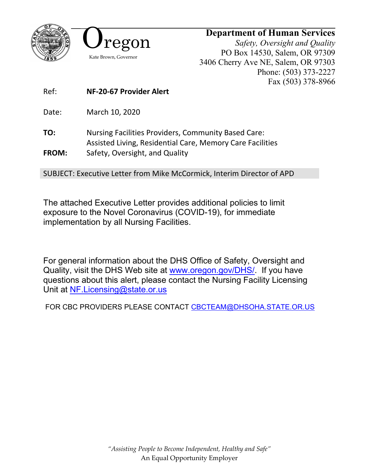



## **Department of Human Services**

*Safety, Oversight and Quality* PO Box 14530, Salem, OR 97309 3406 Cherry Ave NE, Salem, OR 97303 Phone: (503) 373-2227 Fax (503) 378-8966

Ref: **NF-20-67 Provider Alert**

Date: March 10, 2020

**TO:** Nursing Facilities Providers, Community Based Care: Assisted Living, Residential Care, Memory Care Facilities **FROM:** Safety, Oversight, and Quality

SUBJECT: Executive Letter from Mike McCormick, Interim Director of APD

The attached Executive Letter provides additional policies to limit exposure to the Novel Coronavirus (COVID-19), for immediate implementation by all Nursing Facilities.

For general information about the DHS Office of Safety, Oversight and Quality, visit the DHS Web site at [www.oregon.gov/DHS/.](http://www.oregon.gov/DHS/) If you have questions about this alert, please contact the Nursing Facility Licensing Unit at [NF.Licensing@state.or.us](mailto:NF.Licensing@state.or.us)

FOR CBC PROVIDERS PLEASE CONTACT [CBCTEAM@DHSOHA.STATE.OR.US](mailto:CBCTEAM@DHSOHA.STATE.OR.US)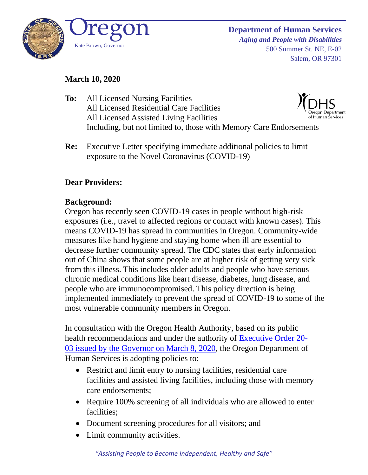

#### **March 10, 2020**

- **To:** All Licensed Nursing Facilities All Licensed Residential Care Facilities All Licensed Assisted Living Facilities Including, but not limited to, those with Memory Care Endorsements
- **Re:** Executive Letter specifying immediate additional policies to limit exposure to the Novel Coronavirus (COVID-19)

## **Dear Providers:**

### **Background:**

Oregon has recently seen COVID-19 cases in people without high-risk exposures (i.e., travel to affected regions or contact with known cases). This means COVID-19 has spread in communities in Oregon. Community-wide measures like hand hygiene and staying home when ill are essential to decrease further community spread. The CDC states that early information out of China shows that some people are at higher risk of getting very sick from this illness. This includes older adults and people who have serious chronic medical conditions like heart disease, diabetes, lung disease, and people who are immunocompromised. This policy direction is being implemented immediately to prevent the spread of COVID-19 to some of the most vulnerable community members in Oregon.

In consultation with the Oregon Health Authority, based on its public health recommendations and under the authority of [Executive Order 20-](https://www.oregon.gov/gov/Documents/executive_orders/eo_20-03.pdf) [03](https://www.oregon.gov/gov/Documents/executive_orders/eo_20-03.pdf) issued by the Governor on March 8, 2020, the Oregon Department of Human Services is adopting policies to:

- Restrict and limit entry to nursing facilities, residential care facilities and assisted living facilities, including those with memory care endorsements;
- Require 100% screening of all individuals who are allowed to enter facilities;
- Document screening procedures for all visitors; and
- Limit community activities.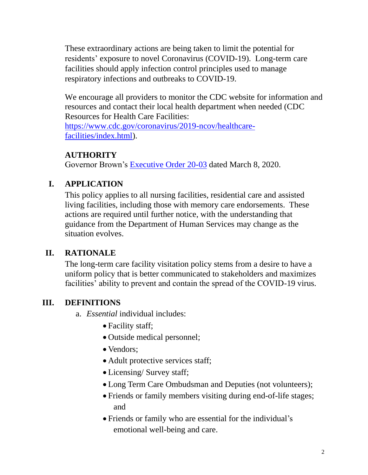These extraordinary actions are being taken to limit the potential for residents' exposure to novel Coronavirus (COVID-19). Long-term care facilities should apply infection control principles used to manage respiratory infections and outbreaks to COVID-19.

We encourage all providers to monitor the CDC website for information and resources and contact their local health department when needed (CDC Resources for Health Care Facilities: [https://www.cdc.gov/coronavirus/2019-ncov/healthcare-](https://www.cdc.gov/coronavirus/2019-ncov/healthcare-facilities/index.html)

[facilities/index.html\)](https://www.cdc.gov/coronavirus/2019-ncov/healthcare-facilities/index.html).

### **AUTHORITY**

Governor Brown's [Executive Order 20-03](https://www.oregon.gov/gov/Documents/executive_orders/eo_20-03.pdf) dated March 8, 2020.

# **I. APPLICATION**

This policy applies to all nursing facilities, residential care and assisted living facilities, including those with memory care endorsements. These actions are required until further notice, with the understanding that guidance from the Department of Human Services may change as the situation evolves.

## **II. RATIONALE**

The long-term care facility visitation policy stems from a desire to have a uniform policy that is better communicated to stakeholders and maximizes facilities' ability to prevent and contain the spread of the COVID-19 virus.

## **III. DEFINITIONS**

- a. *Essential* individual includes:
	- Facility staff;
	- Outside medical personnel;
	- Vendors;
	- Adult protective services staff;
	- Licensing/ Survey staff;
	- Long Term Care Ombudsman and Deputies (not volunteers);
	- Friends or family members visiting during end-of-life stages; and
	- Friends or family who are essential for the individual's emotional well-being and care.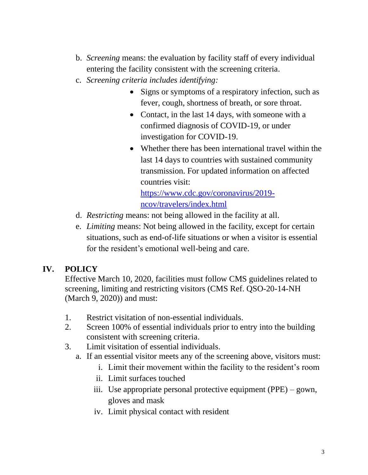- b. *Screening* means: the evaluation by facility staff of every individual entering the facility consistent with the screening criteria.
- c. *Screening criteria includes identifying:* 
	- Signs or symptoms of a respiratory infection, such as fever, cough, shortness of breath, or sore throat.
	- Contact, in the last 14 days, with someone with a confirmed diagnosis of COVID-19, or under investigation for COVID-19.
	- Whether there has been international travel within the last 14 days to countries with sustained community transmission. For updated information on affected countries visit:

[https://www.cdc.gov/coronavirus/2019](https://www.cdc.gov/coronavirus/2019-ncov/travelers/index.html) [ncov/travelers/index.html](https://www.cdc.gov/coronavirus/2019-ncov/travelers/index.html)

- d. *Restricting* means: not being allowed in the facility at all.
- e. *Limiting* means: Not being allowed in the facility, except for certain situations, such as end-of-life situations or when a visitor is essential for the resident's emotional well-being and care.

## **IV. POLICY**

Effective March 10, 2020, facilities must follow CMS guidelines related to screening, limiting and restricting visitors (CMS Ref. QSO-20-14-NH (March 9, 2020)) and must:

- 1. Restrict visitation of non-essential individuals.
- 2. Screen 100% of essential individuals prior to entry into the building consistent with screening criteria.
- 3. Limit visitation of essential individuals.
	- a. If an essential visitor meets any of the screening above, visitors must:
		- i. Limit their movement within the facility to the resident's room
		- ii. Limit surfaces touched
		- iii. Use appropriate personal protective equipment (PPE) gown, gloves and mask
		- iv. Limit physical contact with resident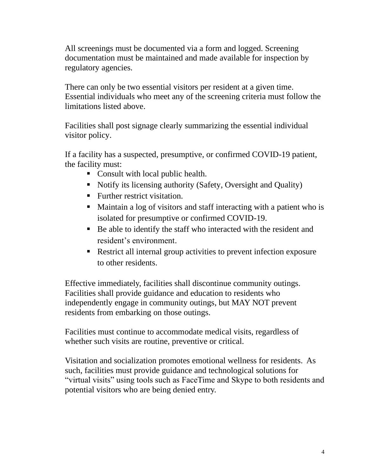All screenings must be documented via a form and logged. Screening documentation must be maintained and made available for inspection by regulatory agencies.

There can only be two essential visitors per resident at a given time. Essential individuals who meet any of the screening criteria must follow the limitations listed above.

Facilities shall post signage clearly summarizing the essential individual visitor policy.

If a facility has a suspected, presumptive, or confirmed COVID-19 patient, the facility must:

- Consult with local public health.
- Notify its licensing authority (Safety, Oversight and Quality)
- **EXECUTE:** Further restrict visitation.
- Maintain a log of visitors and staff interacting with a patient who is isolated for presumptive or confirmed COVID-19.
- Be able to identify the staff who interacted with the resident and resident's environment.
- Restrict all internal group activities to prevent infection exposure to other residents.

Effective immediately, facilities shall discontinue community outings. Facilities shall provide guidance and education to residents who independently engage in community outings, but MAY NOT prevent residents from embarking on those outings.

Facilities must continue to accommodate medical visits, regardless of whether such visits are routine, preventive or critical.

Visitation and socialization promotes emotional wellness for residents. As such, facilities must provide guidance and technological solutions for "virtual visits" using tools such as FaceTime and Skype to both residents and potential visitors who are being denied entry.